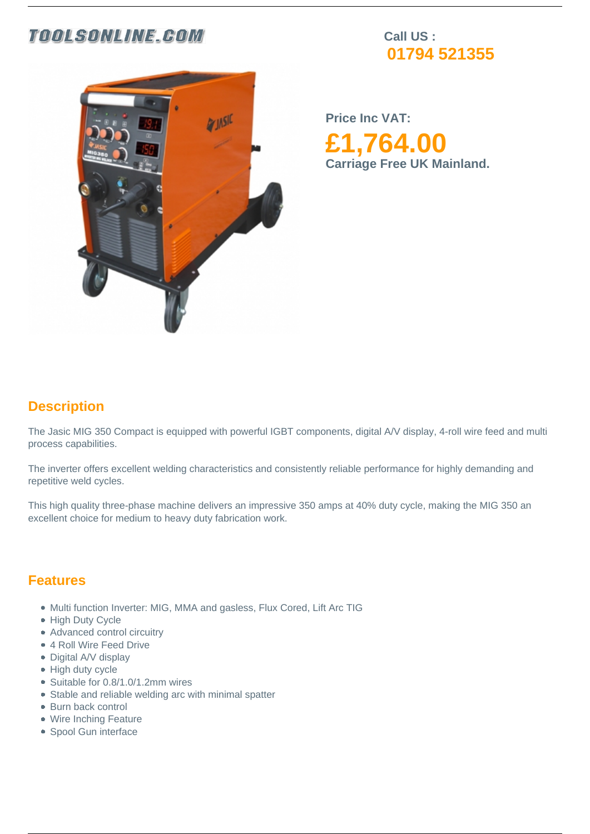## **TOOLSONLINE.GOM**

**Call US : 01794 521355**



**Price Inc VAT: £1,764.00 Carriage Free UK Mainland.** 

## **Description**

The Jasic MIG 350 Compact is equipped with powerful IGBT components, digital A/V display, 4-roll wire feed and multi process capabilities.

The inverter offers excellent welding characteristics and consistently reliable performance for highly demanding and repetitive weld cycles.

This high quality three-phase machine delivers an impressive 350 amps at 40% duty cycle, making the MIG 350 an excellent choice for medium to heavy duty fabrication work.

### **Features**

- Multi function Inverter: MIG, MMA and gasless, Flux Cored, Lift Arc TIG
- High Duty Cycle
- Advanced control circuitry
- 4 Roll Wire Feed Drive
- Digital A/V display
- High duty cycle
- Suitable for 0.8/1.0/1.2mm wires
- Stable and reliable welding arc with minimal spatter
- Burn back control
- Wire Inching Feature
- Spool Gun interface